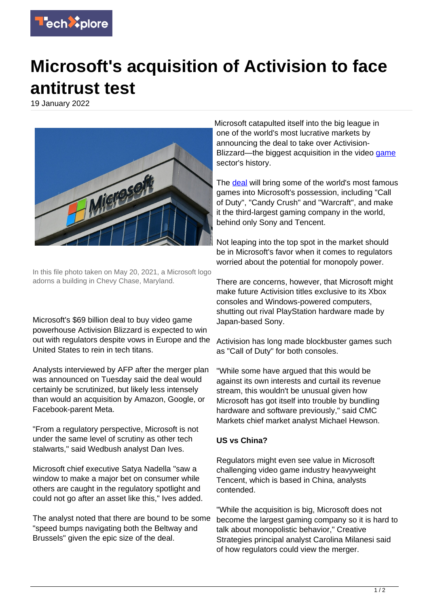

## **Microsoft's acquisition of Activision to face antitrust test**

19 January 2022



In this file photo taken on May 20, 2021, a Microsoft logo adorns a building in Chevy Chase, Maryland.

Microsoft's \$69 billion deal to buy video game powerhouse Activision Blizzard is expected to win out with regulators despite vows in Europe and the United States to rein in tech titans.

Analysts interviewed by AFP after the merger plan was announced on Tuesday said the deal would certainly be scrutinized, but likely less intensely than would an acquisition by Amazon, Google, or Facebook-parent Meta.

"From a regulatory perspective, Microsoft is not under the same level of scrutiny as other tech stalwarts," said Wedbush analyst Dan Ives.

Microsoft chief executive Satya Nadella "saw a window to make a major bet on consumer while others are caught in the regulatory spotlight and could not go after an asset like this," Ives added.

The analyst noted that there are bound to be some "speed bumps navigating both the Beltway and Brussels" given the epic size of the deal.

Microsoft catapulted itself into the big league in one of the world's most lucrative markets by announcing the deal to take over Activision-Blizzard—the biggest acquisition in the video [game](https://techxplore.com/tags/game/) sector's history.

The **deal** will bring some of the world's most famous games into Microsoft's possession, including "Call of Duty", "Candy Crush" and "Warcraft", and make it the third-largest gaming company in the world, behind only Sony and Tencent.

Not leaping into the top spot in the market should be in Microsoft's favor when it comes to regulators worried about the potential for monopoly power.

There are concerns, however, that Microsoft might make future Activision titles exclusive to its Xbox consoles and Windows-powered computers, shutting out rival PlayStation hardware made by Japan-based Sony.

Activision has long made blockbuster games such as "Call of Duty" for both consoles.

"While some have argued that this would be against its own interests and curtail its revenue stream, this wouldn't be unusual given how Microsoft has got itself into trouble by bundling hardware and software previously," said CMC Markets chief market analyst Michael Hewson.

## **US vs China?**

Regulators might even see value in Microsoft challenging video game industry heavyweight Tencent, which is based in China, analysts contended.

"While the acquisition is big, Microsoft does not become the largest gaming company so it is hard to talk about monopolistic behavior," Creative Strategies principal analyst Carolina Milanesi said of how regulators could view the merger.